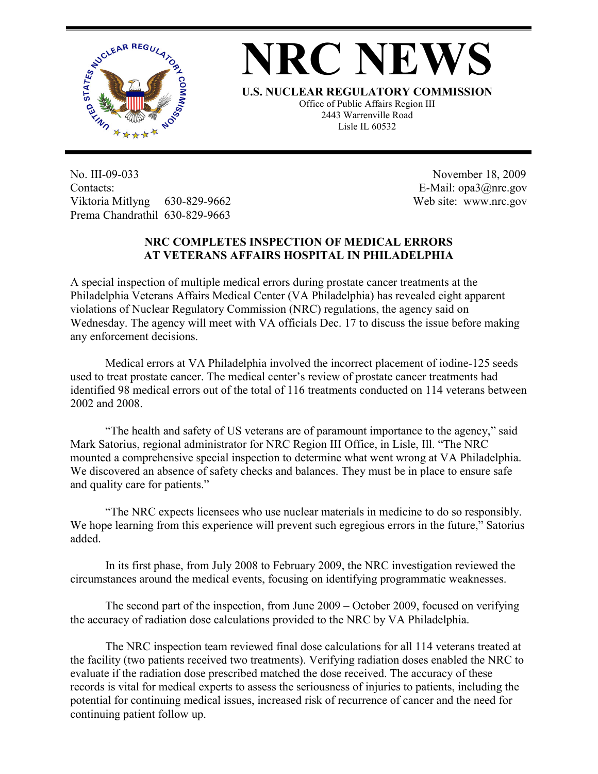



**U.S. NUCLEAR REGULATORY COMMISSION**

Office of Public Affairs Region III 2443 Warrenville Road Lisle IL 60532

No. III-09-033 Contacts: Viktoria Mitlyng 630-829-9662 Prema Chandrathil 630-829-9663

 November 18, 2009 E-Mail: opa3@nrc.gov Web site: www.nrc.gov

## **NRC COMPLETES INSPECTION OF MEDICAL ERRORS AT VETERANS AFFAIRS HOSPITAL IN PHILADELPHIA**

A special inspection of multiple medical errors during prostate cancer treatments at the Philadelphia Veterans Affairs Medical Center (VA Philadelphia) has revealed eight apparent violations of Nuclear Regulatory Commission (NRC) regulations, the agency said on Wednesday. The agency will meet with VA officials Dec. 17 to discuss the issue before making any enforcement decisions.

Medical errors at VA Philadelphia involved the incorrect placement of iodine-125 seeds used to treat prostate cancer. The medical center's review of prostate cancer treatments had identified 98 medical errors out of the total of 116 treatments conducted on 114 veterans between 2002 and 2008.

"The health and safety of US veterans are of paramount importance to the agency," said Mark Satorius, regional administrator for NRC Region III Office, in Lisle, Ill. "The NRC mounted a comprehensive special inspection to determine what went wrong at VA Philadelphia. We discovered an absence of safety checks and balances. They must be in place to ensure safe and quality care for patients."

"The NRC expects licensees who use nuclear materials in medicine to do so responsibly. We hope learning from this experience will prevent such egregious errors in the future," Satorius added.

In its first phase, from July 2008 to February 2009, the NRC investigation reviewed the circumstances around the medical events, focusing on identifying programmatic weaknesses.

The second part of the inspection, from June 2009 – October 2009, focused on verifying the accuracy of radiation dose calculations provided to the NRC by VA Philadelphia.

The NRC inspection team reviewed final dose calculations for all 114 veterans treated at the facility (two patients received two treatments). Verifying radiation doses enabled the NRC to evaluate if the radiation dose prescribed matched the dose received. The accuracy of these records is vital for medical experts to assess the seriousness of injuries to patients, including the potential for continuing medical issues, increased risk of recurrence of cancer and the need for continuing patient follow up.